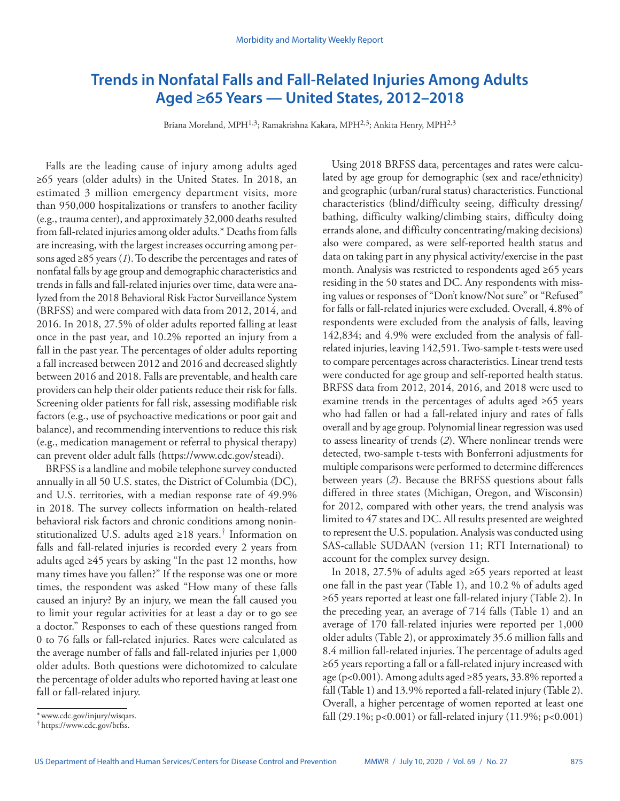# **Trends in Nonfatal Falls and Fall-Related Injuries Among Adults Aged ≥65 Years — United States, 2012–2018**

Briana Moreland, MPH<sup>1,3</sup>; Ramakrishna Kakara, MPH<sup>2,3</sup>; Ankita Henry, MPH<sup>2,3</sup>

Falls are the leading cause of injury among adults aged ≥65 years (older adults) in the United States. In 2018, an estimated 3 million emergency department visits, more than 950,000 hospitalizations or transfers to another facility (e.g., trauma center), and approximately 32,000 deaths resulted from fall-related injuries among older adults.\* Deaths from falls are increasing, with the largest increases occurring among persons aged ≥85 years (*1*). To describe the percentages and rates of nonfatal falls by age group and demographic characteristics and trends in falls and fall-related injuries over time, data were analyzed from the 2018 Behavioral Risk Factor Surveillance System (BRFSS) and were compared with data from 2012, 2014, and 2016. In 2018, 27.5% of older adults reported falling at least once in the past year, and 10.2% reported an injury from a fall in the past year. The percentages of older adults reporting a fall increased between 2012 and 2016 and decreased slightly between 2016 and 2018. Falls are preventable, and health care providers can help their older patients reduce their risk for falls. Screening older patients for fall risk, assessing modifiable risk factors (e.g., use of psychoactive medications or poor gait and balance), and recommending interventions to reduce this risk (e.g., medication management or referral to physical therapy) can prevent older adult falls ([https://www.cdc.gov/steadi\)](https://www.cdc.gov/steadi).

BRFSS is a landline and mobile telephone survey conducted annually in all 50 U.S. states, the District of Columbia (DC), and U.S. territories, with a median response rate of 49.9% in 2018. The survey collects information on health-related behavioral risk factors and chronic conditions among noninstitutionalized U.S. adults aged  $\geq 18$  years.<sup>†</sup> Information on falls and fall-related injuries is recorded every 2 years from adults aged ≥45 years by asking "In the past 12 months, how many times have you fallen?" If the response was one or more times, the respondent was asked "How many of these falls caused an injury? By an injury, we mean the fall caused you to limit your regular activities for at least a day or to go see a doctor." Responses to each of these questions ranged from 0 to 76 falls or fall-related injuries. Rates were calculated as the average number of falls and fall-related injuries per 1,000 older adults. Both questions were dichotomized to calculate the percentage of older adults who reported having at least one fall or fall-related injury.

In 2018, 27.5% of adults aged ≥65 years reported at least one fall in the past year (Table 1), and 10.2 % of adults aged ≥65 years reported at least one fall-related injury (Table 2). In the preceding year, an average of 714 falls (Table 1) and an average of 170 fall-related injuries were reported per 1,000 older adults (Table 2), or approximately 35.6 million falls and 8.4 million fall-related injuries. The percentage of adults aged ≥65 years reporting a fall or a fall-related injury increased with age (p<0.001). Among adults aged ≥85 years, 33.8% reported a fall (Table 1) and 13.9% reported a fall-related injury (Table 2). Overall, a higher percentage of women reported at least one fall (29.1%; p<0.001) or fall-related injury (11.9%; p<0.001)

Using 2018 BRFSS data, percentages and rates were calculated by age group for demographic (sex and race/ethnicity) and geographic (urban/rural status) characteristics. Functional characteristics (blind/difficulty seeing, difficulty dressing/ bathing, difficulty walking/climbing stairs, difficulty doing errands alone, and difficulty concentrating/making decisions) also were compared, as were self-reported health status and data on taking part in any physical activity/exercise in the past month. Analysis was restricted to respondents aged ≥65 years residing in the 50 states and DC. Any respondents with missing values or responses of "Don't know/Not sure" or "Refused" for falls or fall-related injuries were excluded. Overall, 4.8% of respondents were excluded from the analysis of falls, leaving 142,834; and 4.9% were excluded from the analysis of fallrelated injuries, leaving 142,591. Two-sample t-tests were used to compare percentages across characteristics. Linear trend tests were conducted for age group and self-reported health status. BRFSS data from 2012, 2014, 2016, and 2018 were used to examine trends in the percentages of adults aged ≥65 years who had fallen or had a fall-related injury and rates of falls overall and by age group. Polynomial linear regression was used to assess linearity of trends (*2*). Where nonlinear trends were detected, two-sample t-tests with Bonferroni adjustments for multiple comparisons were performed to determine differences between years (*2*). Because the BRFSS questions about falls differed in three states (Michigan, Oregon, and Wisconsin) for 2012, compared with other years, the trend analysis was limited to 47 states and DC. All results presented are weighted to represent the U.S. population. Analysis was conducted using SAS-callable SUDAAN (version 11; RTI International) to account for the complex survey design.

<sup>\*</sup>[www.cdc.gov/injury/wisqars.](https://www.cdc.gov/injury/wisqars) † [https://www.cdc.gov/brfss.](https://www.cdc.gov/brfss)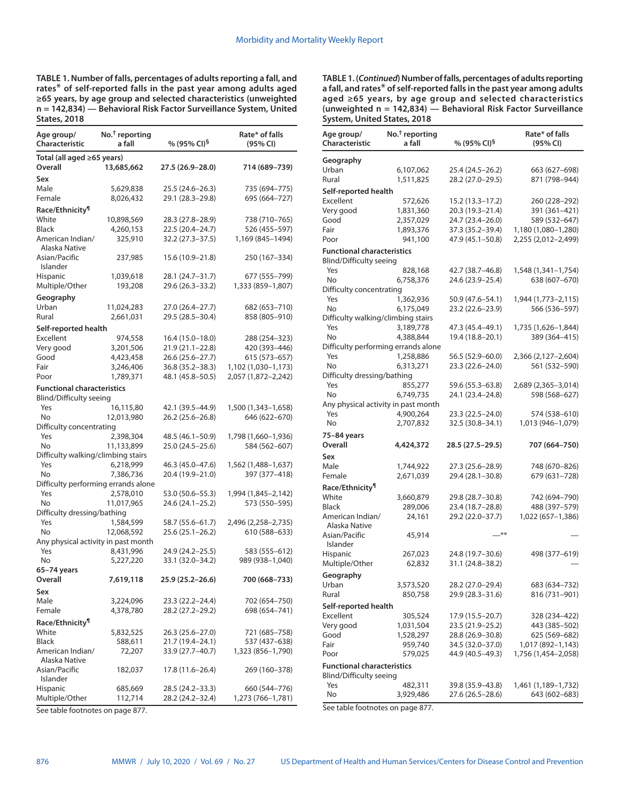**TABLE 1. Number of falls, percentages of adults reporting a fall, and rates**\* **of self-reported falls in the past year among adults aged ≥65 years, by age group and selected characteristics (unweighted n = 142,834) — Behavioral Risk Factor Surveillance System, United States, 2018**

| Age group/<br><b>Characteristic</b> | $No.†$ reporting<br>a fall | % (95% CI)§      | Rate* of falls<br>(95% CI) |
|-------------------------------------|----------------------------|------------------|----------------------------|
| Total (all aged ≥65 years)          |                            |                  |                            |
| Overall                             | 13,685,662                 | 27.5 (26.9–28.0) | 714 (689–739)              |
| Sex                                 |                            |                  |                            |
| Male                                | 5,629,838                  | 25.5 (24.6–26.3) | 735 (694–775)              |
| Female                              | 8,026,432                  | 29.1 (28.3-29.8) | 695 (664-727)              |
| Race/Ethnicity <sup>11</sup>        |                            |                  |                            |
| White                               | 10,898,569                 | 28.3 (27.8-28.9) | 738 (710–765)              |
| <b>Black</b>                        | 4,260,153                  | 22.5 (20.4-24.7) | 526 (455-597)              |
| American Indian/<br>Alaska Native   | 325,910                    | 32.2 (27.3-37.5) | 1,169 (845-1494)           |
| Asian/Pacific<br>Islander           | 237,985                    | 15.6 (10.9–21.8) | 250 (167–334)              |
| <b>Hispanic</b>                     | 1,039,618                  | 28.1 (24.7–31.7) | 677 (555–799)              |
| Multiple/Other                      | 193,208                    | 29.6 (26.3-33.2) | 1,333 (859-1,807)          |
| Geography                           |                            |                  |                            |
| Urban                               | 11,024,283                 | 27.0 (26.4–27.7) | 682 (653-710)              |
| Rural                               | 2,661,031                  | 29.5 (28.5-30.4) | 858 (805-910)              |
| Self-reported health                |                            |                  |                            |
| Excellent                           | 974,558                    | 16.4 (15.0–18.0) | 288 (254–323)              |
| Very good                           | 3,201,506                  | 21.9 (21.1-22.8) | 420 (393-446)              |
| Good                                | 4,423,458                  | 26.6 (25.6-27.7) | 615 (573-657)              |
| Fair                                | 3,246,406                  | 36.8 (35.2-38.3) | 1,102 (1,030-1,173)        |
| Poor                                | 1,789,371                  | 48.1 (45.8–50.5) | 2,057 (1,872-2,242)        |
| <b>Functional characteristics</b>   |                            |                  |                            |
| Blind/Difficulty seeing             |                            |                  |                            |
| Yes                                 | 16,115,80                  | 42.1 (39.5–44.9) | 1,500 (1,343–1,658)        |
| No                                  | 12,013,980                 | 26.2 (25.6-26.8) | 646 (622-670)              |
| Difficulty concentrating            |                            |                  |                            |
| Yes                                 | 2,398,304                  | 48.5 (46.1-50.9) | 1,798 (1,660–1,936)        |
| No.                                 | 11,133,899                 | 25.0 (24.5-25.6) | 584 (562-607)              |
| Difficulty walking/climbing stairs  |                            |                  |                            |
| Yes                                 | 6,218,999                  | 46.3 (45.0-47.6) | 1,562 (1,488–1,637)        |
| No                                  | 7,386,736                  | 20.4 (19.9–21.0) | 397 (377–418)              |
| Difficulty performing errands alone |                            |                  |                            |
| Yes                                 | 2,578,010                  | 53.0 (50.6–55.3) | 1,994 (1,845–2,142)        |
| No                                  | 11,017,965                 | 24.6 (24.1-25.2) | 573 (550-595)              |
| Difficulty dressing/bathing         |                            |                  |                            |
| Yes                                 | 1,584,599                  | 58.7 (55.6–61.7) | 2,496 (2,258–2,735)        |
| No                                  | 12,068,592                 | 25.6 (25.1-26.2) | 610 (588-633)              |
| Any physical activity in past month |                            |                  |                            |
| Yes                                 | 8,431,996                  | 24.9 (24.2–25.5) | 583 (555–612)              |
| No                                  | 5,227,220                  | 33.1 (32.0–34.2) | 989 (938-1,040)            |
| 65-74 years                         |                            |                  |                            |
| Overall                             | 7,619,118                  | 25.9 (25.2–26.6) | 700 (668–733)              |
| Sex                                 |                            |                  |                            |
| Male                                | 3,224,096                  | 23.3 (22.2-24.4) | 702 (654-750)              |
| Female                              | 4,378,780                  | 28.2 (27.2–29.2) | 698 (654–741)              |
| Race/Ethnicity <sup>¶</sup>         |                            |                  |                            |
| White                               | 5,832,525                  | 26.3 (25.6–27.0) | 721 (685–758)              |
| <b>Black</b>                        | 588,611                    | 21.7 (19.4–24.1) | 537 (437–638)              |
| American Indian/<br>Alaska Native   | 72,207                     | 33.9 (27.7–40.7) | 1,323 (856–1,790)          |
| Asian/Pacific<br>Islander           | 182,037                    | 17.8 (11.6–26.4) | 269 (160-378)              |
| <b>Hispanic</b>                     | 685,669                    | 28.5 (24.2–33.3) | 660 (544–776)              |
| Multiple/Other                      | 112,714                    | 28.2 (24.2–32.4) | 1,273 (766-1,781)          |

**TABLE 1. (***Continued***) Number of falls, percentages of adults reporting a fall, and rates**\* **of self-reported falls in the past year among adults aged ≥65 years, by age group and selected characteristics (unweighted n = 142,834) — Behavioral Risk Factor Surveillance System, United States, 2018**

| Age group/<br>Characteristic                                        | No. <sup>†</sup> reporting<br>a fall | % (95% CI) <sup>§</sup> | Rate* of falls<br>(95% CI) |
|---------------------------------------------------------------------|--------------------------------------|-------------------------|----------------------------|
| Geography                                                           |                                      |                         |                            |
| Urban                                                               | 6,107,062                            | 25.4 (24.5–26.2)        | 663 (627–698)              |
| Rural                                                               | 1,511,825                            | 28.2 (27.0-29.5)        | 871 (798-944)              |
| Self-reported health                                                |                                      |                         |                            |
| Excellent                                                           | 572,626                              | 15.2 (13.3–17.2)        | 260 (228–292)              |
| Very good                                                           | 1,831,360                            | 20.3 (19.3-21.4)        | 391 (361-421)              |
| Good                                                                | 2,357,029                            | 24.7 (23.4-26.0)        | 589 (532-647)              |
| Fair                                                                | 1,893,376                            | 37.3 (35.2-39.4)        | 1,180 (1,080-1,280)        |
| Poor                                                                | 941,100                              | 47.9 (45.1-50.8)        | 2,255 (2,012-2,499)        |
| <b>Functional characteristics</b><br><b>Blind/Difficulty seeing</b> |                                      |                         |                            |
| Yes                                                                 | 828,168                              | 42.7 (38.7–46.8)        | 1,548 (1,341-1,754)        |
| No                                                                  | 6,758,376                            | 24.6 (23.9–25.4)        | 638 (607-670)              |
| Difficulty concentrating                                            |                                      |                         |                            |
| Yes                                                                 | 1,362,936                            | 50.9 (47.6-54.1)        | 1,944 (1,773–2,115)        |
| No                                                                  | 6,175,049                            | 23.2 (22.6-23.9)        | 566 (536-597)              |
| Difficulty walking/climbing stairs                                  |                                      |                         |                            |
| Yes                                                                 | 3,189,778                            | 47.3 (45.4-49.1)        | 1,735 (1,626–1,844)        |
| No                                                                  | 4,388,844                            | 19.4 (18.8-20.1)        | 389 (364-415)              |
| Difficulty performing errands alone                                 |                                      |                         |                            |
| Yes                                                                 | 1,258,886                            | 56.5 (52.9–60.0)        | 2,366 (2,127-2,604)        |
| No                                                                  | 6,313,271                            | 23.3 (22.6-24.0)        | 561 (532-590)              |
| Difficulty dressing/bathing                                         |                                      |                         |                            |
| Yes                                                                 | 855,277                              | 59.6 (55.3–63.8)        | 2,689 (2,365–3,014)        |
| No                                                                  | 6,749,735                            | 24.1 (23.4-24.8)        | 598 (568-627)              |
| Any physical activity in past month                                 |                                      |                         |                            |
| Yes                                                                 | 4,900,264                            | 23.3 (22.5–24.0)        | 574 (538–610)              |
| No                                                                  | 2,707,832                            | 32.5 (30.8-34.1)        | 1,013 (946-1,079)          |
| 75–84 years                                                         |                                      |                         |                            |
| Overall                                                             | 4,424,372                            | 28.5 (27.5–29.5)        | 707 (664–750)              |
| Sex                                                                 |                                      |                         |                            |
| Male                                                                | 1,744,922                            | 27.3 (25.6-28.9)        | 748 (670-826)              |
| Female                                                              | 2,671,039                            | 29.4 (28.1–30.8)        | 679 (631-728)              |
| Race/Ethnicity¶                                                     |                                      |                         |                            |
| White                                                               |                                      |                         |                            |
| Black                                                               | 3,660,879                            | 29.8 (28.7–30.8)        | 742 (694–790)              |
| American Indian/                                                    | 289,006                              | 23.4 (18.7-28.8)        | 488 (397-579)              |
| Alaska Native                                                       | 24,161                               | 29.2 (22.0-37.7)        | 1,022 (657-1,386)          |
| Asian/Pacific<br>Islander                                           | 45,914                               | $***$                   |                            |
| <b>Hispanic</b>                                                     | 267,023                              | 24.8 (19.7-30.6)        | 498 (377-619)              |
| Multiple/Other                                                      | 62,832                               | 31.1 (24.8–38.2)        |                            |
| Geography                                                           |                                      |                         |                            |
| Urban                                                               | 3,573,520                            | 28.2 (27.0–29.4)        | 683 (634–732)              |
| Rural                                                               | 850,758                              | 29.9 (28.3–31.6)        | 816 (731-901)              |
|                                                                     |                                      |                         |                            |
| Self-reported health                                                |                                      |                         |                            |
| Excellent                                                           | 305,524                              | 17.9 (15.5–20.7)        | 328 (234-422)              |
| Very good                                                           | 1,031,504                            | 23.5 (21.9–25.2)        | 443 (385–502)              |
| Good                                                                | 1,528,297                            | 28.8 (26.9–30.8)        | 625 (569–682)              |
| Fair                                                                | 959,740                              | 34.5 (32.0–37.0)        | 1,017 (892–1,143)          |
| Poor                                                                | 579,025                              | 44.9 (40.5–49.3)        | 1,756 (1,454–2,058)        |
| <b>Functional characteristics</b><br>Blind/Difficulty seeing        |                                      |                         |                            |
| Yes                                                                 | 482,311                              | 39.8 (35.9–43.8)        | 1,461 (1,189–1,732)        |
| No                                                                  | 3,929,486                            | 27.6 (26.5–28.6)        | 643 (602–683)              |

See table footnotes on page 877.

See table footnotes on page 877.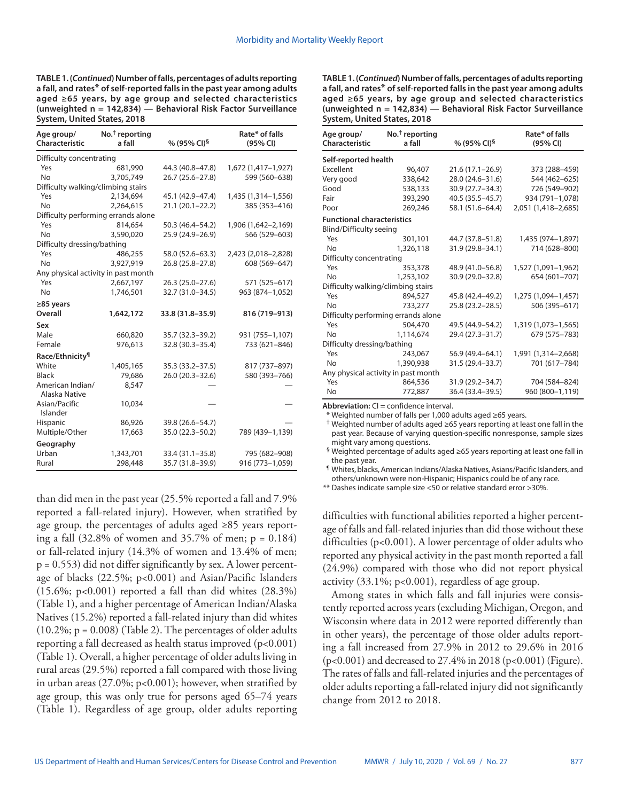**TABLE 1. (***Continued***) Number of falls, percentages of adults reporting a fall, and rates**\* **of self-reported falls in the past year among adults aged ≥65 years, by age group and selected characteristics (unweighted n = 142,834) — Behavioral Risk Factor Surveillance System, United States, 2018**

| Age group/<br>Characteristic        | $No.†$ reporting<br>a fall | % (95% CI) <sup>§</sup> | Rate* of falls<br>(95% CI) |  |  |  |
|-------------------------------------|----------------------------|-------------------------|----------------------------|--|--|--|
|                                     | Difficulty concentrating   |                         |                            |  |  |  |
| Yes                                 | 681,990                    | 44.3 (40.8-47.8)        | 1,672 (1,417-1,927)        |  |  |  |
| <b>No</b>                           | 3,705,749                  | 26.7 (25.6-27.8)        | 599 (560-638)              |  |  |  |
| Difficulty walking/climbing stairs  |                            |                         |                            |  |  |  |
| Yes                                 | 2,134,694                  | 45.1 (42.9-47.4)        | 1,435 (1,314-1,556)        |  |  |  |
| <b>No</b>                           | 2,264,615                  | 21.1 (20.1-22.2)        | 385 (353-416)              |  |  |  |
| Difficulty performing errands alone |                            |                         |                            |  |  |  |
| Yes                                 | 814,654                    | 50.3 (46.4-54.2)        | 1,906 (1,642-2,169)        |  |  |  |
| <b>No</b>                           | 3,590,020                  | 25.9 (24.9-26.9)        | 566 (529-603)              |  |  |  |
| Difficulty dressing/bathing         |                            |                         |                            |  |  |  |
| Yes                                 | 486,255                    | 58.0 (52.6-63.3)        | 2,423 (2,018-2,828)        |  |  |  |
| <b>No</b>                           | 3,927,919                  | 26.8 (25.8-27.8)        | 608 (569-647)              |  |  |  |
| Any physical activity in past month |                            |                         |                            |  |  |  |
| Yes                                 | 2,667,197                  | $26.3(25.0-27.6)$       | 571 (525-617)              |  |  |  |
| <b>No</b>                           | 1,746,501                  | 32.7 (31.0-34.5)        | 963 (874-1,052)            |  |  |  |
| $\geq$ 85 years                     |                            |                         |                            |  |  |  |
| Overall                             | 1,642,172                  | 33.8 (31.8-35.9)        | 816 (719-913)              |  |  |  |
| Sex                                 |                            |                         |                            |  |  |  |
| Male                                | 660,820                    | 35.7 (32.3 - 39.2)      | 931 (755-1,107)            |  |  |  |
| Female                              | 976,613                    | 32.8 (30.3-35.4)        | 733 (621-846)              |  |  |  |
| Race/Ethnicity <sup>1</sup>         |                            |                         |                            |  |  |  |
| White                               | 1,405,165                  | 35.3 (33.2–37.5)        | 817 (737-897)              |  |  |  |
| <b>Black</b>                        | 79,686                     | 26.0 (20.3-32.6)        | 580 (393-766)              |  |  |  |
| American Indian/<br>Alaska Native   | 8,547                      |                         |                            |  |  |  |
| Asian/Pacific<br>Islander           | 10,034                     |                         |                            |  |  |  |
| Hispanic                            | 86,926                     | 39.8 (26.6-54.7)        |                            |  |  |  |
| Multiple/Other                      | 17,663                     | 35.0 (22.3-50.2)        | 789 (439-1,139)            |  |  |  |
| Geography                           |                            |                         |                            |  |  |  |
| Urban                               | 1,343,701                  | 33.4 (31.1-35.8)        | 795 (682-908)              |  |  |  |
| Rural                               | 298,448                    | 35.7 (31.8-39.9)        | 916 (773-1,059)            |  |  |  |

than did men in the past year (25.5% reported a fall and 7.9% reported a fall-related injury). However, when stratified by age group, the percentages of adults aged ≥85 years reporting a fall (32.8% of women and 35.7% of men; p = 0.184) or fall-related injury (14.3% of women and 13.4% of men;  $p = 0.553$ ) did not differ significantly by sex. A lower percentage of blacks (22.5%; p<0.001) and Asian/Pacific Islanders  $(15.6\%; p<0.001)$  reported a fall than did whites  $(28.3\%)$ (Table 1), and a higher percentage of American Indian/Alaska Natives (15.2%) reported a fall-related injury than did whites  $(10.2\%; p = 0.008)$  (Table 2). The percentages of older adults reporting a fall decreased as health status improved  $(p<0.001)$ (Table 1). Overall, a higher percentage of older adults living in rural areas (29.5%) reported a fall compared with those living in urban areas (27.0%; p<0.001); however, when stratified by age group, this was only true for persons aged 65–74 years (Table 1). Regardless of age group, older adults reporting **TABLE 1. (***Continued***) Number of falls, percentages of adults reporting a fall, and rates**\* **of self-reported falls in the past year among adults aged ≥65 years, by age group and selected characteristics (unweighted n = 142,834) — Behavioral Risk Factor Surveillance System, United States, 2018**

| Age group/<br><b>Characteristic</b> | No. <sup>†</sup> reporting<br>a fall | % (95% CI) <sup>§</sup> | Rate* of falls<br>(95% CI) |  |
|-------------------------------------|--------------------------------------|-------------------------|----------------------------|--|
| Self-reported health                |                                      |                         |                            |  |
| Excellent                           | 96,407                               | $21.6(17.1 - 26.9)$     | 373 (288-459)              |  |
| Very good                           | 338,642                              | 28.0 (24.6-31.6)        | 544 (462-625)              |  |
| Good                                | 538,133                              | 30.9 (27.7-34.3)        | 726 (549-902)              |  |
| Fair                                | 393,290                              | $40.5(35.5 - 45.7)$     | 934 (791-1,078)            |  |
| Poor                                | 269,246                              | 58.1 (51.6-64.4)        | 2,051 (1,418-2,685)        |  |
| <b>Functional characteristics</b>   |                                      |                         |                            |  |
| <b>Blind/Difficulty seeing</b>      |                                      |                         |                            |  |
| Yes                                 | 301,101                              | 44.7 (37.8–51.8)        | 1,435 (974-1,897)          |  |
| <b>No</b>                           | 1,326,118                            | 31.9 (29.8-34.1)        | 714 (628-800)              |  |
| Difficulty concentrating            |                                      |                         |                            |  |
| Yes                                 | 353,378                              | 48.9 (41.0-56.8)        | 1,527 (1,091-1,962)        |  |
| <b>No</b>                           | 1,253,102                            | 30.9 (29.0-32.8)        | 654 (601-707)              |  |
| Difficulty walking/climbing stairs  |                                      |                         |                            |  |
| Yes                                 | 894,527                              | 45.8 (42.4–49.2)        | 1,275 (1,094-1,457)        |  |
| <b>No</b>                           | 733,277                              | 25.8 (23.2-28.5)        | 506 (395-617)              |  |
| Difficulty performing errands alone |                                      |                         |                            |  |
| Yes                                 | 504,470                              | 49.5 (44.9–54.2)        | 1,319 (1,073-1,565)        |  |
| <b>No</b>                           | 1,114,674                            | 29.4 (27.3-31.7)        | 679 (575 - 783)            |  |
| Difficulty dressing/bathing         |                                      |                         |                            |  |
| Yes                                 | 243,067                              | 56.9 (49.4–64.1)        | 1,991 (1,314-2,668)        |  |
| No                                  | 1,390,938                            | 31.5 (29.4-33.7)        | 701 (617-784)              |  |
| Any physical activity in past month |                                      |                         |                            |  |
| Yes                                 | 864,536                              | $31.9(29.2 - 34.7)$     | 704 (584-824)              |  |
| No                                  | 772,887                              | 36.4 (33.4 - 39.5)      | 960 (800-1,119)            |  |

**Abbreviation:** CI = confidence interval.

\* Weighted number of falls per 1,000 adults aged ≥65 years.

† Weighted number of adults aged ≥65 years reporting at least one fall in the past year. Because of varying question-specific nonresponse, sample sizes might vary among questions.

§ Weighted percentage of adults aged ≥65 years reporting at least one fall in the past year.

**¶** Whites, blacks, American Indians/Alaska Natives, Asians/Pacific Islanders, and others/unknown were non-Hispanic; Hispanics could be of any race.

\*\* Dashes indicate sample size <50 or relative standard error >30%.

difficulties with functional abilities reported a higher percentage of falls and fall-related injuries than did those without these difficulties (p<0.001). A lower percentage of older adults who reported any physical activity in the past month reported a fall (24.9%) compared with those who did not report physical activity (33.1%; p<0.001), regardless of age group.

Among states in which falls and fall injuries were consistently reported across years (excluding Michigan, Oregon, and Wisconsin where data in 2012 were reported differently than in other years), the percentage of those older adults reporting a fall increased from 27.9% in 2012 to 29.6% in 2016 (p<0.001) and decreased to 27.4% in 2018 (p<0.001) (Figure). The rates of falls and fall-related injuries and the percentages of older adults reporting a fall-related injury did not significantly change from 2012 to 2018.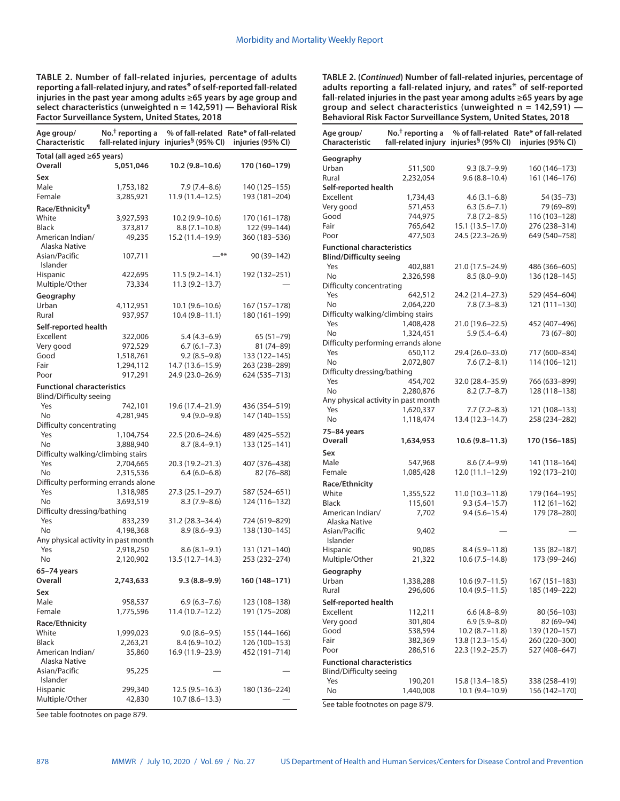**TABLE 2. Number of fall-related injuries, percentage of adults reporting a fall-related injury, and rates**\* **of self-reported fall-related injuries in the past year among adults ≥65 years by age group and select characteristics (unweighted n = 142,591) — Behavioral Risk Factor Surveillance System, United States, 2018**

| Age group/<br>Characteristic        | No. <sup>†</sup> reporting a | fall-related injury injuries <sup>§</sup> (95% CI) | % of fall-related Rate* of fall-related<br>injuries (95% CI) |
|-------------------------------------|------------------------------|----------------------------------------------------|--------------------------------------------------------------|
| Total (all aged ≥65 years)          |                              |                                                    |                                                              |
| Overall                             | 5,051,046                    | 10.2 (9.8–10.6)                                    | 170 (160–179)                                                |
| Sex                                 |                              |                                                    |                                                              |
| Male                                | 1,753,182                    | 7.9 (7.4–8.6)                                      | 140 (125-155)                                                |
| Female                              | 3,285,921                    | 11.9 (11.4–12.5)                                   | 193 (181-204)                                                |
| Race/Ethnicity <sup>¶</sup>         |                              |                                                    |                                                              |
| White<br><b>Black</b>               | 3,927,593<br>373,817         | 10.2 (9.9–10.6)<br>$8.8(7.1-10.8)$                 | 170 (161–178)<br>122 (99-144)                                |
| American Indian/<br>Alaska Native   | 49,235                       | 15.2 (11.4-19.9)                                   | 360 (183-536)                                                |
| Asian/Pacific<br>Islander           | 107,711                      | _**                                                | 90 (39–142)                                                  |
| <b>Hispanic</b>                     | 422,695                      | $11.5(9.2 - 14.1)$                                 | 192 (132–251)                                                |
| Multiple/Other                      | 73,334                       | $11.3(9.2 - 13.7)$                                 |                                                              |
| Geography                           |                              |                                                    |                                                              |
| Urban                               | 4,112,951                    | $10.1(9.6 - 10.6)$                                 | 167 (157-178)                                                |
| Rural                               | 937,957                      | $10.4(9.8 - 11.1)$                                 | 180 (161-199)                                                |
| Self-reported health                |                              |                                                    |                                                              |
| Excellent                           | 322,006                      | $5.4(4.3-6.9)$                                     | $65(51 - 79)$                                                |
| Very good                           | 972,529                      | $6.7(6.1 - 7.3)$                                   | 81 (74-89)                                                   |
| Good<br>Fair                        | 1,518,761                    | $9.2(8.5-9.8)$                                     | 133 (122-145)                                                |
| Poor                                | 1,294,112<br>917,291         | 14.7 (13.6–15.9)<br>24.9 (23.0-26.9)               | 263 (238-289)<br>624 (535 - 713)                             |
| <b>Functional characteristics</b>   |                              |                                                    |                                                              |
| Blind/Difficulty seeing             |                              |                                                    |                                                              |
| Yes                                 | 742,101                      | 19.6 (17.4-21.9)                                   | 436 (354-519)                                                |
| N <sub>o</sub>                      | 4,281,945                    | $9.4(9.0-9.8)$                                     | 147 (140-155)                                                |
| Difficulty concentrating            |                              |                                                    |                                                              |
| Yes                                 | 1,104,754                    | 22.5 (20.6–24.6)                                   | 489 (425–552)                                                |
| No                                  | 3,888,940                    | $8.7(8.4 - 9.1)$                                   | 133 (125-141)                                                |
| Difficulty walking/climbing stairs  |                              |                                                    |                                                              |
| Yes                                 | 2,704,665                    | 20.3 (19.2-21.3)                                   | 407 (376-438)                                                |
| No                                  | 2,315,536                    | $6.4(6.0-6.8)$                                     | 82 (76-88)                                                   |
| Difficulty performing errands alone |                              |                                                    |                                                              |
| Yes<br>N <sub>o</sub>               | 1,318,985<br>3,693,519       | 27.3 (25.1-29.7)<br>$8.3(7.9 - 8.6)$               | 587 (524–651)<br>124 (116–132)                               |
| Difficulty dressing/bathing         |                              |                                                    |                                                              |
| Yes                                 | 833,239                      | 31.2 (28.3-34.4)                                   | 724 (619-829)                                                |
| N <sub>o</sub>                      | 4,198,368                    | $8.9(8.6 - 9.3)$                                   | 138 (130-145)                                                |
| Any physical activity in past month |                              |                                                    |                                                              |
| Yes                                 | 2,918,250                    | $8.6(8.1 - 9.1)$                                   | 131 (121-140)                                                |
| No                                  | 2,120,902                    | 13.5 (12.7–14.3)                                   | 253 (232-274)                                                |
| 65-74 years                         |                              |                                                    |                                                              |
| Overall                             | 2,743,633                    | $9.3(8.8-9.9)$                                     | 160 (148–171)                                                |
| Sex                                 |                              |                                                    |                                                              |
| Male                                | 958,537                      | $6.9(6.3 - 7.6)$                                   | 123 (108–138)                                                |
| Female                              | 1,775,596                    | 11.4 (10.7–12.2)                                   | 191 (175-208)                                                |
| Race/Ethnicity                      |                              |                                                    |                                                              |
| White                               | 1,999,023                    | $9.0(8.6 - 9.5)$                                   | 155 (144–166)                                                |
| <b>Black</b><br>American Indian/    | 2,263,21                     | $8.4(6.9-10.2)$                                    | 126 (100–153)<br>452 (191-714)                               |
| Alaska Native                       | 35,860                       | 16.9 (11.9–23.9)                                   |                                                              |
| Asian/Pacific                       | 95,225                       |                                                    |                                                              |
| Islander                            |                              |                                                    |                                                              |
| <b>Hispanic</b>                     | 299,340                      | 12.5 (9.5–16.3)                                    | 180 (136–224)                                                |
| Multiple/Other                      | 42,830                       | $10.7(8.6 - 13.3)$                                 |                                                              |

**TABLE 2. (***Continued***) Number of fall-related injuries, percentage of adults reporting a fall-related injury, and rates**\* **of self-reported fall-related injuries in the past year among adults ≥65 years by age group and select characteristics (unweighted n = 142,591) — Behavioral Risk Factor Surveillance System, United States, 2018**

| Age group/<br>Characteristic                                        | $No.†$ reporting a                  | fall-related injury injuries <sup>§</sup> (95% CI) | % of fall-related Rate* of fall-related<br>injuries (95% Cl) |
|---------------------------------------------------------------------|-------------------------------------|----------------------------------------------------|--------------------------------------------------------------|
| Geography                                                           |                                     |                                                    |                                                              |
| Urban                                                               | 511,500                             | $9.3(8.7-9.9)$                                     | 160 (146-173)                                                |
| Rural                                                               | 2,232,054                           | $9.6(8.8 - 10.4)$                                  | 161 (146–176)                                                |
| Self-reported health                                                |                                     |                                                    |                                                              |
| Excellent                                                           | 1,734,43                            | $4.6(3.1 - 6.8)$                                   | 54 (35 - 73)                                                 |
| Very good                                                           | 571,453                             | $6.3(5.6 - 7.1)$                                   | 79 (69-89)                                                   |
| Good                                                                | 744,975                             | $7.8(7.2 - 8.5)$                                   | 116 (103–128)                                                |
| Fair                                                                | 765,642                             | 15.1 (13.5-17.0)                                   | 276 (238-314)                                                |
| Poor                                                                | 477,503                             | 24.5 (22.3–26.9)                                   | 649 (540–758)                                                |
| <b>Functional characteristics</b>                                   |                                     |                                                    |                                                              |
| <b>Blind/Difficulty seeing</b>                                      |                                     |                                                    |                                                              |
| Yes                                                                 | 402,881                             | 21.0 (17.5–24.9)                                   | 486 (366–605)                                                |
| No                                                                  | 2,326,598                           | $8.5(8.0-9.0)$                                     | 136 (128-145)                                                |
| Difficulty concentrating                                            |                                     |                                                    |                                                              |
| Yes                                                                 | 642,512                             | 24.2 (21.4–27.3)                                   | 529 (454-604)                                                |
| No                                                                  | 2,064,220                           | $7.8(7.3-8.3)$                                     | 121 (111–130)                                                |
| Difficulty walking/climbing stairs                                  |                                     |                                                    |                                                              |
| Yes                                                                 | 1,408,428                           | 21.0 (19.6–22.5)                                   | 452 (407–496)                                                |
| No                                                                  | 1,324,451                           | $5.9(5.4 - 6.4)$                                   | 73 (67-80)                                                   |
|                                                                     | Difficulty performing errands alone |                                                    |                                                              |
| Yes                                                                 | 650,112                             | 29.4 (26.0–33.0)                                   | 717 (600–834)                                                |
| <b>No</b>                                                           | 2,072,807                           | $7.6(7.2 - 8.1)$                                   | 114 (106-121)                                                |
| Difficulty dressing/bathing                                         |                                     |                                                    |                                                              |
| Yes                                                                 | 454,702                             | 32.0 (28.4–35.9)                                   | 766 (633–899)                                                |
| <b>No</b>                                                           | 2,280,876                           | $8.2(7.7 - 8.7)$                                   | 128 (118-138)                                                |
| Any physical activity in past month                                 |                                     |                                                    |                                                              |
| Yes                                                                 | 1,620,337                           | $7.7(7.2 - 8.3)$                                   | 121 (108-133)                                                |
| <b>No</b>                                                           | 1,118,474                           | 13.4 (12.3–14.7)                                   | 258 (234-282)                                                |
| 75-84 years                                                         |                                     |                                                    |                                                              |
| <b>Overall</b>                                                      | 1,634,953                           | 10.6 (9.8–11.3)                                    | 170 (156–185)                                                |
| Sex                                                                 |                                     |                                                    |                                                              |
| Male                                                                | 547,968                             | 8.6 (7.4–9.9)                                      | 141 (118–164)                                                |
| Female                                                              | 1,085,428                           | 12.0 (11.1–12.9)                                   | 192 (173–210)                                                |
| Race/Ethnicity                                                      |                                     |                                                    |                                                              |
| White                                                               | 1,355,522                           | 11.0 (10.3–11.8)                                   | 179 (164–195)                                                |
| <b>Black</b>                                                        | 115,601                             | $9.3(5.4 - 15.7)$                                  | $112(61-162)$                                                |
| American Indian/                                                    | 7,702                               | $9.4(5.6 - 15.4)$                                  | 179 (78-280)                                                 |
| Alaska Native                                                       |                                     |                                                    |                                                              |
| Asian/Pacific<br>Islander                                           | 9,402                               |                                                    |                                                              |
| <b>Hispanic</b>                                                     | 90,085                              | $8.4(5.9 - 11.8)$                                  | 135 (82–187)                                                 |
| Multiple/Other                                                      | 21,322                              | $10.6(7.5-14.8)$                                   | 173 (99–246)                                                 |
|                                                                     |                                     |                                                    |                                                              |
| Geography                                                           |                                     |                                                    |                                                              |
| Urban                                                               | 1,338,288                           | $10.6(9.7 - 11.5)$                                 | 167 (151-183)                                                |
| Rural                                                               | 296,606                             | 10.4 (9.5–11.5)                                    | 185 (149–222)                                                |
| Self-reported health                                                |                                     |                                                    |                                                              |
| Excellent                                                           | 112,211                             | $6.6(4.8-8.9)$                                     | 80 (56-103)                                                  |
| Very good                                                           | 301,804                             | 6.9 (5.9–8.0)                                      | 82 (69–94)                                                   |
| Good                                                                | 538,594                             | 10.2 (8.7–11.8)                                    | 139 (120–157)                                                |
| Fair                                                                | 382,369                             | 13.8 (12.3–15.4)                                   | 260 (220 - 300)                                              |
| Poor                                                                | 286,516                             | 22.3 (19.2–25.7)                                   | 527 (408-647)                                                |
| <b>Functional characteristics</b><br><b>Blind/Difficulty seeing</b> |                                     |                                                    |                                                              |
| Yes                                                                 | 190,201                             | 15.8 (13.4–18.5)                                   | 338 (258–419)                                                |
| No                                                                  | 1,440,008                           | 10.1 (9.4–10.9)                                    | 156 (142–170)                                                |
|                                                                     |                                     |                                                    |                                                              |

See table footnotes on page 879.

See table footnotes on page 879.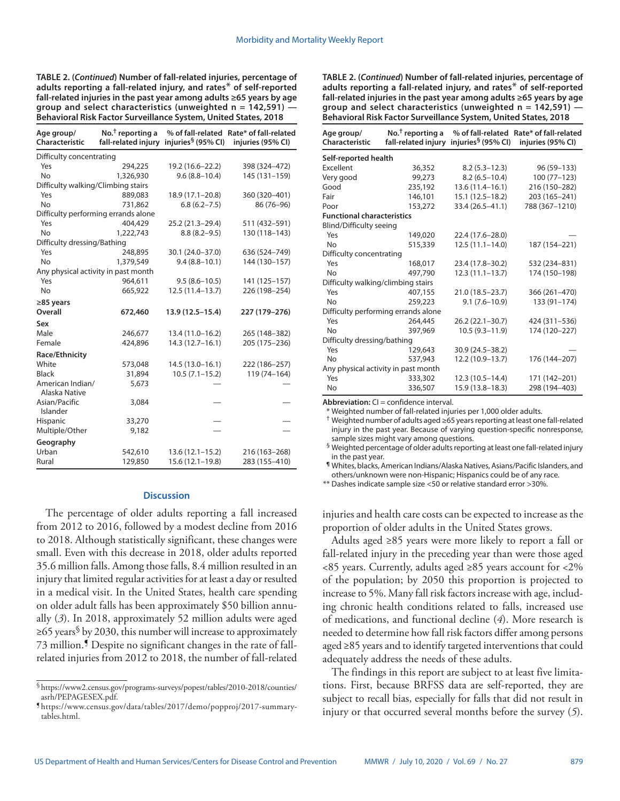**TABLE 2. (***Continued***) Number of fall-related injuries, percentage of adults reporting a fall-related injury, and rates**\* **of self-reported fall-related injuries in the past year among adults ≥65 years by age group and select characteristics (unweighted n = 142,591) — Behavioral Risk Factor Surveillance System, United States, 2018**

| Age group/<br>Characteristic        | No. <sup>†</sup> reporting a<br>fall-related injury | injuries <sup>§</sup> (95% CI) | % of fall-related Rate* of fall-related<br>injuries (95% CI) |  |  |
|-------------------------------------|-----------------------------------------------------|--------------------------------|--------------------------------------------------------------|--|--|
| Difficulty concentrating            |                                                     |                                |                                                              |  |  |
| Yes                                 | 294,225                                             | 19.2 (16.6-22.2)               | 398 (324-472)                                                |  |  |
| N <sub>o</sub>                      | 1,326,930                                           | $9.6(8.8 - 10.4)$              | 145 (131-159)                                                |  |  |
| Difficulty walking/Climbing stairs  |                                                     |                                |                                                              |  |  |
| Yes                                 | 889,083                                             | 18.9 (17.1-20.8)               | 360 (320-401)                                                |  |  |
| <b>No</b>                           | 731,862                                             | $6.8(6.2 - 7.5)$               | 86 (76-96)                                                   |  |  |
| Difficulty performing errands alone |                                                     |                                |                                                              |  |  |
| Yes                                 | 404,429                                             | 25.2 (21.3-29.4)               | 511 (432-591)                                                |  |  |
| <b>No</b>                           | 1,222,743                                           | $8.8(8.2 - 9.5)$               | 130 (118-143)                                                |  |  |
| Difficulty dressing/Bathing         |                                                     |                                |                                                              |  |  |
| Yes                                 | 248,895                                             | 30.1 (24.0-37.0)               | 636 (524-749)                                                |  |  |
| N <sub>o</sub>                      | 1,379,549                                           | $9.4(8.8 - 10.1)$              | 144 (130-157)                                                |  |  |
| Any physical activity in past month |                                                     |                                |                                                              |  |  |
| Yes                                 | 964,611                                             | $9.5(8.6 - 10.5)$              | 141 (125-157)                                                |  |  |
| <b>No</b>                           | 665,922                                             | 12.5 (11.4-13.7)               | 226 (198-254)                                                |  |  |
| $\geq$ 85 years                     |                                                     |                                |                                                              |  |  |
| Overall                             | 672,460                                             | 13.9 (12.5-15.4)               | 227 (179-276)                                                |  |  |
| Sex                                 |                                                     |                                |                                                              |  |  |
| Male                                | 246,677                                             | 13.4 (11.0-16.2)               | 265 (148-382)                                                |  |  |
| Female                              | 424,896                                             | $14.3(12.7 - 16.1)$            | 205 (175-236)                                                |  |  |
| Race/Ethnicity                      |                                                     |                                |                                                              |  |  |
| White                               | 573,048                                             | $14.5(13.0 - 16.1)$            | 222 (186-257)                                                |  |  |
| <b>Black</b>                        | 31,894                                              | $10.5(7.1 - 15.2)$             | 119 (74-164)                                                 |  |  |
| American Indian/<br>Alaska Native   | 5,673                                               |                                |                                                              |  |  |
| Asian/Pacific<br>Islander           | 3,084                                               |                                |                                                              |  |  |
| Hispanic                            | 33,270                                              |                                |                                                              |  |  |
| Multiple/Other                      | 9,182                                               |                                |                                                              |  |  |
| Geography                           |                                                     |                                |                                                              |  |  |
| Urban                               | 542,610                                             | $13.6(12.1 - 15.2)$            | 216 (163-268)                                                |  |  |
| Rural                               | 129,850                                             | $15.6(12.1 - 19.8)$            | 283 (155-410)                                                |  |  |

#### **Discussion**

The percentage of older adults reporting a fall increased from 2012 to 2016, followed by a modest decline from 2016 to 2018. Although statistically significant, these changes were small. Even with this decrease in 2018, older adults reported 35.6 million falls. Among those falls, 8.4 million resulted in an injury that limited regular activities for at least a day or resulted in a medical visit. In the United States, health care spending on older adult falls has been approximately \$50 billion annually (*3*). In 2018, approximately 52 million adults were aged  $\geq$ 65 years<sup>§</sup> by 2030, this number will increase to approximately 73 million.¶ Despite no significant changes in the rate of fallrelated injuries from 2012 to 2018, the number of fall-related **TABLE 2. (***Continued***) Number of fall-related injuries, percentage of adults reporting a fall-related injury, and rates**\* **of self-reported fall-related injuries in the past year among adults ≥65 years by age group and select characteristics (unweighted n = 142,591) — Behavioral Risk Factor Surveillance System, United States, 2018**

| Age group/<br>Characteristic        | $No.†$ reporting a<br>fall-related injury | injuries <sup>§</sup> (95% Cl) | % of fall-related Rate* of fall-related<br>injuries (95% CI) |  |
|-------------------------------------|-------------------------------------------|--------------------------------|--------------------------------------------------------------|--|
| Self-reported health                |                                           |                                |                                                              |  |
| <b>Fxcellent</b>                    | 36,352                                    | $8.2(5.3 - 12.3)$              | 96 (59-133)                                                  |  |
| Very good                           | 99,273                                    | $8.2(6.5 - 10.4)$              | $100(77-123)$                                                |  |
| Good                                | 235,192                                   | $13.6(11.4 - 16.1)$            | 216 (150-282)                                                |  |
| Fair                                | 146,101                                   | $15.1(12.5 - 18.2)$            | 203 (165-241)                                                |  |
| Poor                                | 153,272                                   | 33.4 (26.5-41.1)               | 788 (367-1210)                                               |  |
| <b>Functional characteristics</b>   |                                           |                                |                                                              |  |
| <b>Blind/Difficulty seeing</b>      |                                           |                                |                                                              |  |
| Yes                                 | 149,020                                   | 22.4 (17.6-28.0)               |                                                              |  |
| <b>No</b>                           | 515,339                                   | $12.5(11.1 - 14.0)$            | 187 (154-221)                                                |  |
| Difficulty concentrating            |                                           |                                |                                                              |  |
| Yes                                 | 168,017                                   | 23.4 (17.8-30.2)               | 532 (234-831)                                                |  |
| No                                  | 497.790                                   | $12.3(11.1-13.7)$              | 174 (150-198)                                                |  |
| Difficulty walking/climbing stairs  |                                           |                                |                                                              |  |
| Yes                                 | 407,155                                   | 21.0 (18.5 - 23.7)             | 366 (261-470)                                                |  |
| <b>No</b>                           | 259,223                                   | $9.1(7.6 - 10.9)$              | 133 (91-174)                                                 |  |
| Difficulty performing errands alone |                                           |                                |                                                              |  |
| Yes                                 | 264,445                                   | $26.2(22.1 - 30.7)$            | 424 (311-536)                                                |  |
| Nο                                  | 397,969                                   | $10.5(9.3 - 11.9)$             | 174 (120-227)                                                |  |
| Difficulty dressing/bathing         |                                           |                                |                                                              |  |
| Yes                                 | 129,643                                   | 30.9 (24.5 - 38.2)             |                                                              |  |
| <b>No</b>                           | 537,943                                   | 12.2 (10.9-13.7)               | 176 (144-207)                                                |  |
| Any physical activity in past month |                                           |                                |                                                              |  |
| Yes                                 | 333,302                                   | $12.3(10.5 - 14.4)$            | 171 (142-201)                                                |  |
| No                                  | 336,507                                   | 15.9 (13.8-18.3)               | 298 (194-403)                                                |  |

**Abbreviation:** CI = confidence interval.

Weighted number of fall-related injuries per 1,000 older adults.

† Weighted number of adults aged ≥65 years reporting at least one fall-related injury in the past year. Because of varying question-specific nonresponse, sample sizes might vary among questions.

§ Weighted percentage of older adults reporting at least one fall-related injury in the past year.

**¶** Whites, blacks, American Indians/Alaska Natives, Asians/Pacific Islanders, and others/unknown were non-Hispanic; Hispanics could be of any race.

\*\* Dashes indicate sample size <50 or relative standard error >30%.

injuries and health care costs can be expected to increase as the proportion of older adults in the United States grows.

Adults aged ≥85 years were more likely to report a fall or fall-related injury in the preceding year than were those aged <85 years. Currently, adults aged ≥85 years account for <2% of the population; by 2050 this proportion is projected to increase to 5%. Many fall risk factors increase with age, including chronic health conditions related to falls, increased use of medications, and functional decline (*4*). More research is needed to determine how fall risk factors differ among persons aged ≥85 years and to identify targeted interventions that could adequately address the needs of these adults.

The findings in this report are subject to at least five limitations. First, because BRFSS data are self-reported, they are subject to recall bias, especially for falls that did not result in injury or that occurred several months before the survey (*5*).

<sup>§</sup>[https://www2.census.gov/programs-surveys/popest/tables/2010-2018/counties/](https://www2.census.gov/programs-surveys/popest/tables/2010-2018/counties/asrh/PEPAGESEX.pdf)

[asrh/PEPAGESEX.pdf.](https://www2.census.gov/programs-surveys/popest/tables/2010-2018/counties/asrh/PEPAGESEX.pdf) ¶ [https://www.census.gov/data/tables/2017/demo/popproj/2017-summary](https://www.census.gov/data/tables/2017/demo/popproj/2017-summary-tables.html)[tables.html.](https://www.census.gov/data/tables/2017/demo/popproj/2017-summary-tables.html)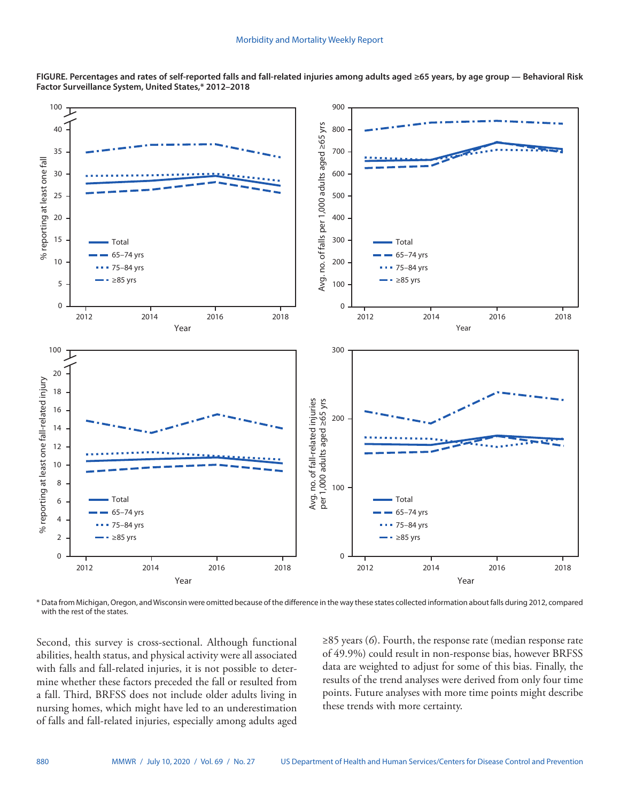

**FIGURE. Percentages and rates of self-reported falls and fall-related injuries among adults aged ≥65 years, by age group — Behavioral Risk Factor Surveillance System, United States,\* 2012–2018**

\* Data from Michigan, Oregon, and Wisconsin were omitted because of the difference in the way these states collected information about falls during 2012, compared with the rest of the states.

Second, this survey is cross-sectional. Although functional abilities, health status, and physical activity were all associated with falls and fall-related injuries, it is not possible to determine whether these factors preceded the fall or resulted from a fall. Third, BRFSS does not include older adults living in nursing homes, which might have led to an underestimation of falls and fall-related injuries, especially among adults aged ≥85 years (*6*). Fourth, the response rate (median response rate of 49.9%) could result in non-response bias, however BRFSS data are weighted to adjust for some of this bias. Finally, the results of the trend analyses were derived from only four time points. Future analyses with more time points might describe these trends with more certainty.